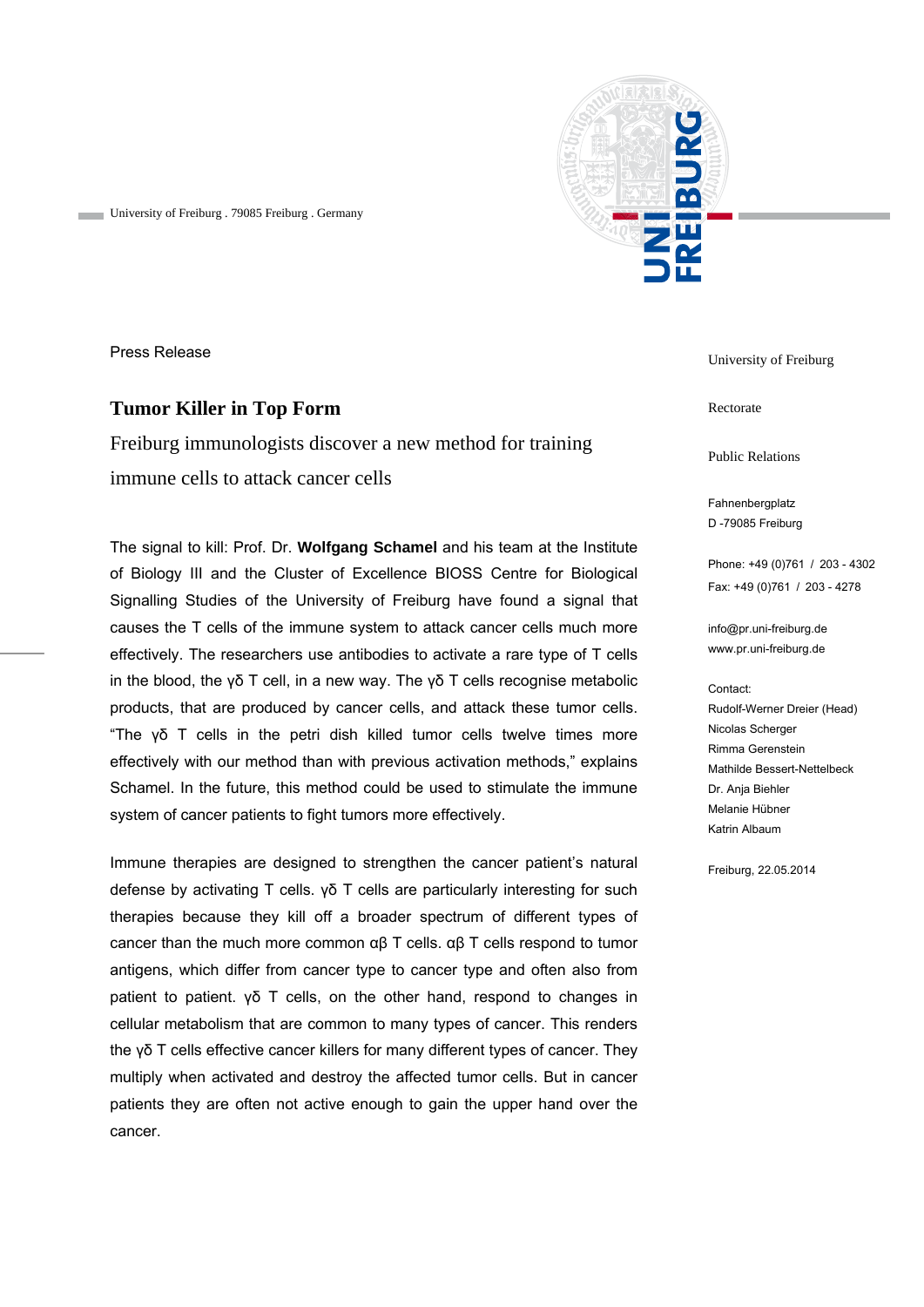

University of Freiburg . 79085 Freiburg . Germany

Press Release

## **Tumor Killer in Top Form**

Freiburg immunologists discover a new method for training immune cells to attack cancer cells

The signal to kill: Prof. Dr. **Wolfgang Schamel** and his team at the Institute of Biology III and the Cluster of Excellence BIOSS Centre for Biological Signalling Studies of the University of Freiburg have found a signal that causes the T cells of the immune system to attack cancer cells much more effectively. The researchers use antibodies to activate a rare type of T cells in the blood, the γδ T cell, in a new way. The γδ T cells recognise metabolic products, that are produced by cancer cells, and attack these tumor cells. "The γδ T cells in the petri dish killed tumor cells twelve times more effectively with our method than with previous activation methods," explains Schamel. In the future, this method could be used to stimulate the immune system of cancer patients to fight tumors more effectively.

Immune therapies are designed to strengthen the cancer patient's natural defense by activating T cells. γδ T cells are particularly interesting for such therapies because they kill off a broader spectrum of different types of cancer than the much more common αβ T cells. αβ T cells respond to tumor antigens, which differ from cancer type to cancer type and often also from patient to patient. γδ T cells, on the other hand, respond to changes in cellular metabolism that are common to many types of cancer. This renders the γδ T cells effective cancer killers for many different types of cancer. They multiply when activated and destroy the affected tumor cells. But in cancer patients they are often not active enough to gain the upper hand over the cancer.

University of Freiburg

Rectorate

Public Relations

Fahnenbergplatz D -79085 Freiburg

Phone: +49 (0)761 / 203 - 4302 Fax: +49 (0)761 / 203 - 4278

info@pr.uni-freiburg.de www.pr.uni-freiburg.de

#### Contact:

Rudolf-Werner Dreier (Head) Nicolas Scherger Rimma Gerenstein Mathilde Bessert-Nettelbeck Dr. Anja Biehler Melanie Hübner Katrin Albaum

Freiburg, 22.05.2014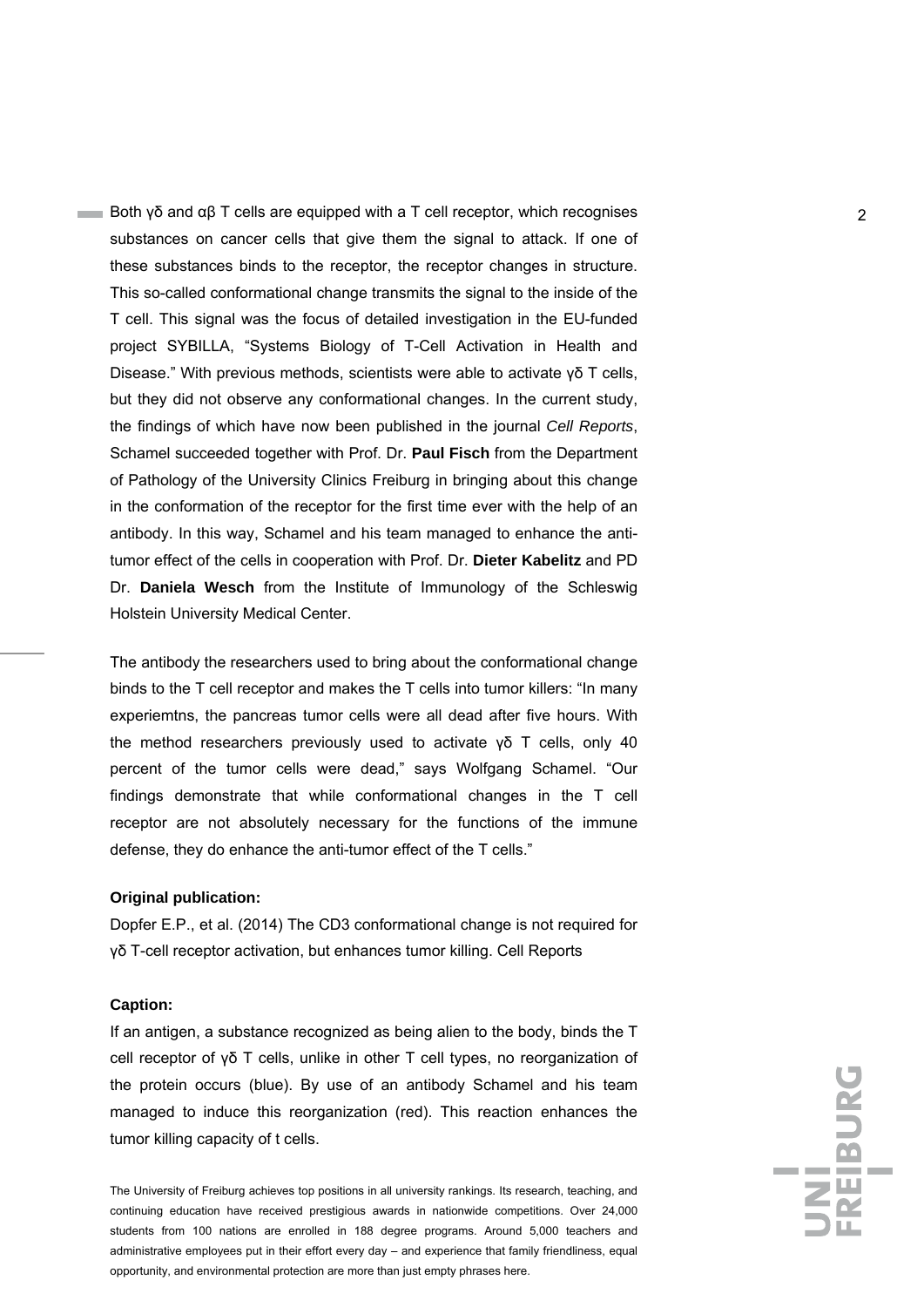**Both γδ and αβ T cells are equipped with a T cell receptor, which recognises**  $\alpha$ substances on cancer cells that give them the signal to attack. If one of these substances binds to the receptor, the receptor changes in structure. This so-called conformational change transmits the signal to the inside of the T cell. This signal was the focus of detailed investigation in the EU-funded project SYBILLA, "Systems Biology of T-Cell Activation in Health and Disease." With previous methods, scientists were able to activate γδ T cells, but they did not observe any conformational changes. In the current study, the findings of which have now been published in the journal *Cell Reports*, Schamel succeeded together with Prof. Dr. **Paul Fisch** from the Department of Pathology of the University Clinics Freiburg in bringing about this change in the conformation of the receptor for the first time ever with the help of an antibody. In this way, Schamel and his team managed to enhance the antitumor effect of the cells in cooperation with Prof. Dr. **Dieter Kabelitz** and PD Dr. **Daniela Wesch** from the Institute of Immunology of the Schleswig Holstein University Medical Center.

The antibody the researchers used to bring about the conformational change binds to the T cell receptor and makes the T cells into tumor killers: "In many experiemtns, the pancreas tumor cells were all dead after five hours. With the method researchers previously used to activate γδ T cells, only 40 percent of the tumor cells were dead," says Wolfgang Schamel. "Our findings demonstrate that while conformational changes in the T cell receptor are not absolutely necessary for the functions of the immune defense, they do enhance the anti-tumor effect of the T cells."

### **Original publication:**

Dopfer E.P., et al. (2014) The CD3 conformational change is not required for γδ T-cell receptor activation, but enhances tumor killing. Cell Reports

#### **Caption:**

If an antigen, a substance recognized as being alien to the body, binds the T cell receptor of γδ T cells, unlike in other T cell types, no reorganization of the protein occurs (blue). By use of an antibody Schamel and his team managed to induce this reorganization (red). This reaction enhances the tumor killing capacity of t cells.

The University of Freiburg achieves top positions in all university rankings. Its research, teaching, and continuing education have received prestigious awards in nationwide competitions. Over 24,000 students from 100 nations are enrolled in 188 degree programs. Around 5,000 teachers and administrative employees put in their effort every day – and experience that family friendliness, equal opportunity, and environmental protection are more than just empty phrases here.